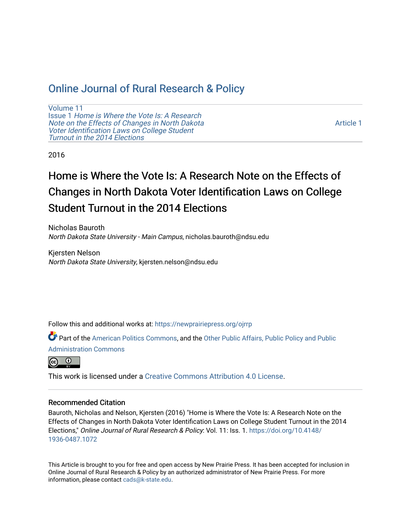## [Online Journal of Rural Research & Policy](https://newprairiepress.org/ojrrp)

[Volume 11](https://newprairiepress.org/ojrrp/vol11) Issue 1 [Home is Where the Vote Is: A Research](https://newprairiepress.org/ojrrp/vol11/iss1)  [Note on the Effects of Changes in North Dakota](https://newprairiepress.org/ojrrp/vol11/iss1)  [Voter Identification Laws on College Student](https://newprairiepress.org/ojrrp/vol11/iss1) [Turnout in the 2014 Elections](https://newprairiepress.org/ojrrp/vol11/iss1)

[Article 1](https://newprairiepress.org/ojrrp/vol11/iss1/1) 

2016

# Home is Where the Vote Is: A Research Note on the Effects of Changes in North Dakota Voter Identification Laws on College Student Turnout in the 2014 Elections

Nicholas Bauroth North Dakota State University - Main Campus, nicholas.bauroth@ndsu.edu

Kjersten Nelson North Dakota State University, kjersten.nelson@ndsu.edu

Follow this and additional works at: [https://newprairiepress.org/ojrrp](https://newprairiepress.org/ojrrp?utm_source=newprairiepress.org%2Fojrrp%2Fvol11%2Fiss1%2F1&utm_medium=PDF&utm_campaign=PDFCoverPages) 

Part of the [American Politics Commons,](http://network.bepress.com/hgg/discipline/387?utm_source=newprairiepress.org%2Fojrrp%2Fvol11%2Fiss1%2F1&utm_medium=PDF&utm_campaign=PDFCoverPages) and the [Other Public Affairs, Public Policy and Public](http://network.bepress.com/hgg/discipline/403?utm_source=newprairiepress.org%2Fojrrp%2Fvol11%2Fiss1%2F1&utm_medium=PDF&utm_campaign=PDFCoverPages)  [Administration Commons](http://network.bepress.com/hgg/discipline/403?utm_source=newprairiepress.org%2Fojrrp%2Fvol11%2Fiss1%2F1&utm_medium=PDF&utm_campaign=PDFCoverPages) 



This work is licensed under a [Creative Commons Attribution 4.0 License](https://creativecommons.org/licenses/by/4.0/).

#### Recommended Citation

Bauroth, Nicholas and Nelson, Kjersten (2016) "Home is Where the Vote Is: A Research Note on the Effects of Changes in North Dakota Voter Identification Laws on College Student Turnout in the 2014 Elections," Online Journal of Rural Research & Policy: Vol. 11: Iss. 1. [https://doi.org/10.4148/](https://doi.org/10.4148/1936-0487.1072) [1936-0487.1072](https://doi.org/10.4148/1936-0487.1072) 

This Article is brought to you for free and open access by New Prairie Press. It has been accepted for inclusion in Online Journal of Rural Research & Policy by an authorized administrator of New Prairie Press. For more information, please contact [cads@k-state.edu](mailto:cads@k-state.edu).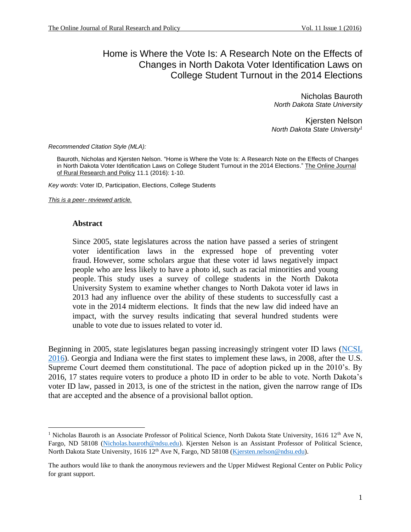## Home is Where the Vote Is: A Research Note on the Effects of Changes in North Dakota Voter Identification Laws on College Student Turnout in the 2014 Elections

Nicholas Bauroth *North Dakota State University*

Kjersten Nelson *North Dakota State University<sup>1</sup>*

*Recommended Citation Style (MLA):*

Bauroth, Nicholas and Kjersten Nelson. "Home is Where the Vote Is: A Research Note on the Effects of Changes in North Dakota Voter Identification Laws on College Student Turnout in the 2014 Elections." The Online Journal of Rural Research and Policy 11.1 (2016): 1-10.

*Key words*: Voter ID, Participation, Elections, College Students

*This is a peer- reviewed article.*

#### **Abstract**

l

Since 2005, state legislatures across the nation have passed a series of stringent voter identification laws in the expressed hope of preventing voter fraud. However, some scholars argue that these voter id laws negatively impact people who are less likely to have a photo id, such as racial minorities and young people. This study uses a survey of college students in the North Dakota University System to examine whether changes to North Dakota voter id laws in 2013 had any influence over the ability of these students to successfully cast a vote in the 2014 midterm elections. It finds that the new law did indeed have an impact, with the survey results indicating that several hundred students were unable to vote due to issues related to voter id.

Beginning in 2005, state legislatures began passing increasingly stringent voter ID laws [\(NCSL](#page-10-0)  [2016\)](#page-10-0). Georgia and Indiana were the first states to implement these laws, in 2008, after the U.S. Supreme Court deemed them constitutional. The pace of adoption picked up in the 2010's. By 2016, 17 states require voters to produce a photo ID in order to be able to vote. North Dakota's voter ID law, passed in 2013, is one of the strictest in the nation, given the narrow range of IDs that are accepted and the absence of a provisional ballot option.

<sup>&</sup>lt;sup>1</sup> Nicholas Bauroth is an Associate Professor of Political Science, North Dakota State University, 1616 12<sup>th</sup> Ave N, Fargo, ND 58108 [\(Nicholas.bauroth@ndsu.edu\)](mailto:Nicholas.bauroth@ndsu.edu). Kjersten Nelson is an Assistant Professor of Political Science, North Dakota State University, 1616 12<sup>th</sup> Ave N, Fargo, ND 58108 [\(Kjersten.nelson@ndsu.edu\)](mailto:Kjersten.nelson@ndsu.edu).

The authors would like to thank the anonymous reviewers and the Upper Midwest Regional Center on Public Policy for grant support.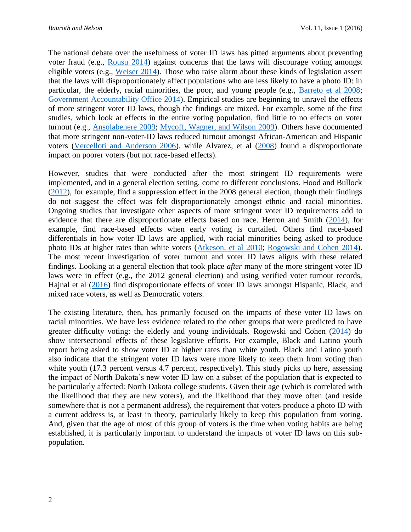The national debate over the usefulness of voter ID laws has pitted arguments about preventing voter fraud (e.g., [Rousu 2014\)](#page-10-1) against concerns that the laws will discourage voting amongst eligible voters (e.g., [Weiser 2014\)](#page-10-2). Those who raise alarm about these kinds of legislation assert that the laws will disproportionately affect populations who are less likely to have a photo ID: in particular, the elderly, racial minorities, the poor, and young people (e.g., [Barreto et](#page-9-0) al 2008; [Government Accountability Office 2014\)](#page-9-1). Empirical studies are beginning to unravel the effects of more stringent voter ID laws, though the findings are mixed. For example, some of the first studies, which look at effects in the entire voting population, find little to no effects on voter turnout (e.g., [Ansolabehere 2009;](#page-9-2) [Mycoff, Wagner, and Wilson 2009\)](#page-10-3). Others have documented that more stringent non-voter-ID laws reduced turnout amongst African-American and Hispanic voters [\(Vercelloti and Anderson 2006\)](#page-10-4), while Alvarez, et al [\(2008\)](#page-9-3) found a disproportionate impact on poorer voters (but not race-based effects).

However, studies that were conducted after the most stringent ID requirements were implemented, and in a general election setting, come to different conclusions. Hood and Bullock [\(2012\)](#page-9-4), for example, find a suppression effect in the 2008 general election, though their findings do not suggest the effect was felt disproportionately amongst ethnic and racial minorities. Ongoing studies that investigate other aspects of more stringent voter ID requirements add to evidence that there are disproportionate effects based on race. Herron and Smith [\(2014\)](#page-9-5), for example, find race-based effects when early voting is curtailed. Others find race-based differentials in how voter ID laws are applied, with racial minorities being asked to produce photo IDs at higher rates than white voters [\(Atkeson, et al 2010;](#page-9-6) [Rogowski and Cohen 2014\)](#page-10-5). The most recent investigation of voter turnout and voter ID laws aligns with these related findings. Looking at a general election that took place *after* many of the more stringent voter ID laws were in effect (e.g., the 2012 general election) and using verified voter turnout records, Hajnal et al [\(2016\)](#page-9-7) find disproportionate effects of voter ID laws amongst Hispanic, Black, and mixed race voters, as well as Democratic voters.

The existing literature, then, has primarily focused on the impacts of these voter ID laws on racial minorities. We have less evidence related to the other groups that were predicted to have greater difficulty voting: the elderly and young individuals. Rogowski and Cohen [\(2014\)](#page-10-5) do show intersectional effects of these legislative efforts. For example, Black and Latino youth report being asked to show voter ID at higher rates than white youth. Black and Latino youth also indicate that the stringent voter ID laws were more likely to keep them from voting than white youth (17.3 percent versus 4.7 percent, respectively). This study picks up here, assessing the impact of North Dakota's new voter ID law on a subset of the population that is expected to be particularly affected: North Dakota college students. Given their age (which is correlated with the likelihood that they are new voters), and the likelihood that they move often (and reside somewhere that is not a permanent address), the requirement that voters produce a photo ID with a current address is, at least in theory, particularly likely to keep this population from voting. And, given that the age of most of this group of voters is the time when voting habits are being established, it is particularly important to understand the impacts of voter ID laws on this subpopulation.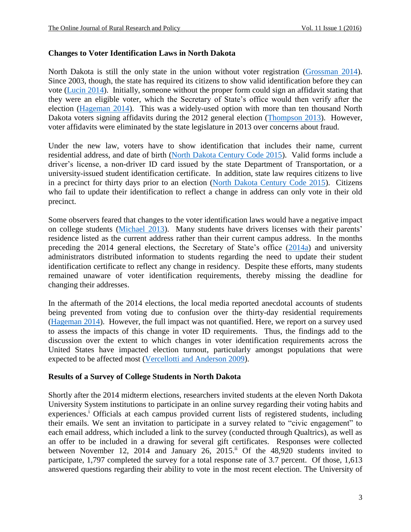#### **Changes to Voter Identification Laws in North Dakota**

North Dakota is still the only state in the union without voter registration [\(Grossman](#page-9-8) 2014). Since 2003, though, the state has required its citizens to show valid identification before they can vote [\(Lucin 2014\)](#page-9-9). Initially, someone without the proper form could sign an affidavit stating that they were an eligible voter, which the Secretary of State's office would then verify after the election [\(Hageman 2014\)](#page-9-10). This was a widely-used option with more than ten thousand North Dakota voters signing affidavits during the 2012 general election [\(Thompson 2013\)](#page-10-6). However, voter affidavits were eliminated by the state legislature in 2013 over concerns about fraud.

Under the new law, voters have to show identification that includes their name, current residential address, and date of birth [\(North Dakota Century Code 2015\)](#page-10-7). Valid forms include a driver's license, a non-driver ID card issued by the state Department of Transportation, or a university-issued student identification certificate. In addition, state law requires citizens to live in a precinct for thirty days prior to an election [\(North Dakota Century Code 2015\)](#page-10-7). Citizens who fail to update their identification to reflect a change in address can only vote in their old precinct.

Some observers feared that changes to the voter identification laws would have a negative impact on college students [\(Michael 2013\)](#page-10-8). Many students have drivers licenses with their parents' residence listed as the current address rather than their current campus address. In the months preceding the 2014 general elections, the Secretary of State's office [\(2014a\)](#page-10-9) and university administrators distributed information to students regarding the need to update their student identification certificate to reflect any change in residency. Despite these efforts, many students remained unaware of voter identification requirements, thereby missing the deadline for changing their addresses.

In the aftermath of the 2014 elections, the local media reported anecdotal accounts of students being prevented from voting due to confusion over the thirty-day residential requirements [\(Hageman 2014\)](#page-9-10). However, the full impact was not quantified. Here, we report on a survey used to assess the impacts of this change in voter ID requirements. Thus, the findings add to the discussion over the extent to which changes in voter identification requirements across the United States have impacted election turnout, particularly amongst populations that were expected to be affected most [\(Vercellotti and Anderson 2009\)](#page-10-4).

#### **Results of a Survey of College Students in North Dakota**

Shortly after the 2014 midterm elections, researchers invited students at the eleven North Dakota University System institutions to participate in an online survey regarding their voting habits and experiences.<sup>i</sup> Officials at each campus provided current lists of registered students, including their emails. We sent an invitation to participate in a survey related to "civic engagement" to each email address, which included a link to the survey (conducted through Qualtrics), as well as an offer to be included in a drawing for several gift certificates. Responses were collected between November 12, 2014 and January 26, 2015.<sup>ii</sup> Of the 48,920 students invited to participate, 1,797 completed the survey for a total response rate of 3.7 percent. Of those, 1,613 answered questions regarding their ability to vote in the most recent election. The University of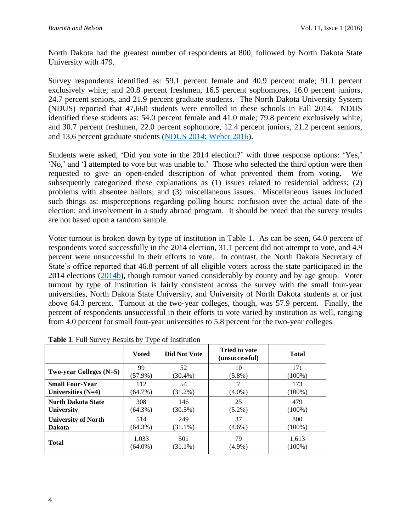North Dakota had the greatest number of respondents at 800, followed by North Dakota State University with 479.

Survey respondents identified as: 59.1 percent female and 40.9 percent male; 91.1 percent exclusively white; and 20.8 percent freshmen, 16.5 percent sophomores, 16.0 percent juniors, 24.7 percent seniors, and 21.9 percent graduate students. The North Dakota University System (NDUS) reported that 47,660 students were enrolled in these schools in Fall 2014. NDUS identified these students as: 54.0 percent female and 41.0 male; 79.8 percent exclusively white; and 30.7 percent freshmen, 22.0 percent sophomore, 12.4 percent juniors, 21.2 percent seniors, and 13.6 percent graduate students [\(NDUS 2014;](#page-10-10) [Weber](#page-10-11) 2016).

Students were asked, 'Did you vote in the 2014 election?' with three response options: 'Yes,' 'No,' and 'I attempted to vote but was unable to.' Those who selected the third option were then requested to give an open-ended description of what prevented them from voting. We subsequently categorized these explanations as (1) issues related to residential address; (2) problems with absentee ballots; and (3) miscellaneous issues. Miscellaneous issues included such things as: misperceptions regarding polling hours; confusion over the actual date of the election; and involvement in a study abroad program. It should be noted that the survey results are not based upon a random sample.

Voter turnout is broken down by type of institution in Table 1. As can be seen, 64.0 percent of respondents voted successfully in the 2014 election, 31.1 percent did not attempt to vote, and 4.9 percent were unsuccessful in their efforts to vote. In contrast, the North Dakota Secretary of State's office reported that 46.8 percent of all eligible voters across the state participated in the 2014 elections  $(2014b)$ , though turnout varied considerably by county and by age group. Voter turnout by type of institution is fairly consistent across the survey with the small four-year universities, North Dakota State University, and University of North Dakota students at or just above 64.3 percent. Turnout at the two-year colleges, though, was 57.9 percent. Finally, the percent of respondents unsuccessful in their efforts to vote varied by institution as well, ranging from 4.0 percent for small four-year universities to 5.8 percent for the two-year colleges.

|                            | <b>Voted</b> | Did Not Vote | <b>Tried to vote</b><br>(unsuccessful) | <b>Total</b> |
|----------------------------|--------------|--------------|----------------------------------------|--------------|
| Two-year Colleges $(N=5)$  | 99           | 52           | 10                                     | 171          |
|                            | $(57.9\%)$   | $(30.4\%)$   | $(5.8\%)$                              | $(100\%)$    |
| <b>Small Four-Year</b>     | 112          | 54           | 7                                      | 173          |
| Universities $(N=4)$       | $(64.7\%)$   | $(31.2\%)$   | $(4.0\%)$                              | $(100\%)$    |
| <b>North Dakota State</b>  | 308          | 146          | 25                                     | 479          |
| <b>University</b>          | $(64.3\%)$   | $(30.5\%)$   | $(5.2\%)$                              | $(100\%)$    |
| <b>University of North</b> | 514          | 249          | 37                                     | 800          |
| <b>Dakota</b>              | $(64.3\%)$   | $(31.1\%)$   | $(4.6\%)$                              | $(100\%)$    |
| Total                      | 1,033        | 501          | 79                                     | 1,613        |
|                            | $(64.0\%)$   | $(31.1\%)$   | $(4.9\%)$                              | $(100\%)$    |

**Table 1**. Full Survey Results by Type of Institution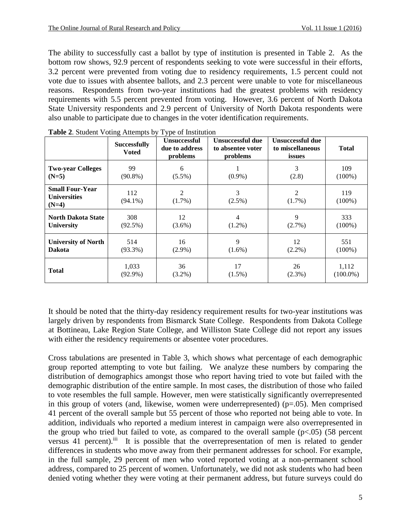The ability to successfully cast a ballot by type of institution is presented in Table 2. As the bottom row shows, 92.9 percent of respondents seeking to vote were successful in their efforts, 3.2 percent were prevented from voting due to residency requirements, 1.5 percent could not vote due to issues with absentee ballots, and 2.3 percent were unable to vote for miscellaneous reasons. Respondents from two-year institutions had the greatest problems with residency requirements with 5.5 percent prevented from voting. However, 3.6 percent of North Dakota State University respondents and 2.9 percent of University of North Dakota respondents were also unable to participate due to changes in the voter identification requirements.

|                                                          | $\blacksquare$ . statstille i statig i ittenijem s $\jota$<br><b>Successfully</b><br><b>Voted</b> | $\sim$ $\mu$ $\sim$<br><b>Unsuccessful</b><br>due to address<br>problems | Unsuccessful due<br>to absentee voter<br>problems | <b>Unsuccessful due</b><br>to miscellaneous<br>issues | <b>Total</b>     |
|----------------------------------------------------------|---------------------------------------------------------------------------------------------------|--------------------------------------------------------------------------|---------------------------------------------------|-------------------------------------------------------|------------------|
| <b>Two-year Colleges</b>                                 | 99                                                                                                | 6                                                                        | $(0.9\%)$                                         | 3                                                     | 109              |
| $(N=5)$                                                  | $(90.8\%)$                                                                                        | $(5.5\%)$                                                                |                                                   | (2.8)                                                 | $(100\%)$        |
| <b>Small Four-Year</b><br><b>Universities</b><br>$(N=4)$ | 112<br>$(94.1\%)$                                                                                 | 2<br>$(1.7\%)$                                                           | 3<br>$(2.5\%)$                                    | 2<br>$(1.7\%)$                                        | 119<br>$(100\%)$ |
| <b>North Dakota State</b>                                | 308                                                                                               | 12                                                                       | 4                                                 | 9                                                     | 333              |
| <b>University</b>                                        | (92.5%)                                                                                           | $(3.6\%)$                                                                | $(1.2\%)$                                         | $(2.7\%)$                                             | $(100\%)$        |
| <b>University of North</b>                               | 514                                                                                               | 16                                                                       | 9                                                 | 12                                                    | 551              |
| <b>Dakota</b>                                            | $(93.3\%)$                                                                                        | $(2.9\%)$                                                                | $(1.6\%)$                                         | $(2.2\%)$                                             | $(100\%)$        |
| <b>Total</b>                                             | 1,033                                                                                             | 36                                                                       | 17                                                | 26                                                    | 1,112            |
|                                                          | $(92.9\%)$                                                                                        | $(3.2\%)$                                                                | $(1.5\%)$                                         | $(2.3\%)$                                             | $(100.0\%)$      |

|  |  |  |  | Table 2. Student Voting Attempts by Type of Institution |
|--|--|--|--|---------------------------------------------------------|
|--|--|--|--|---------------------------------------------------------|

It should be noted that the thirty-day residency requirement results for two-year institutions was largely driven by respondents from Bismarck State College. Respondents from Dakota College at Bottineau, Lake Region State College, and Williston State College did not report any issues with either the residency requirements or absentee voter procedures.

Cross tabulations are presented in Table 3, which shows what percentage of each demographic group reported attempting to vote but failing. We analyze these numbers by comparing the distribution of demographics amongst those who report having tried to vote but failed with the demographic distribution of the entire sample. In most cases, the distribution of those who failed to vote resembles the full sample. However, men were statistically significantly overrepresented in this group of voters (and, likewise, women were underrepresented) ( $p=.05$ ). Men comprised 41 percent of the overall sample but 55 percent of those who reported not being able to vote. In addition, individuals who reported a medium interest in campaign were also overrepresented in the group who tried but failed to vote, as compared to the overall sample  $(p<.05)$  (58 percent versus 41 percent).<sup>iii</sup> It is possible that the overrepresentation of men is related to gender differences in students who move away from their permanent addresses for school. For example, in the full sample, 29 percent of men who voted reported voting at a non-permanent school address, compared to 25 percent of women. Unfortunately, we did not ask students who had been denied voting whether they were voting at their permanent address, but future surveys could do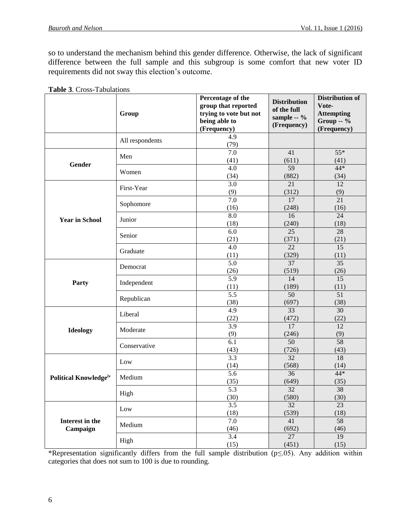so to understand the mechanism behind this gender difference. Otherwise, the lack of significant difference between the full sample and this subgroup is some comfort that new voter ID requirements did not sway this election's outcome.

|                              | Group           | Percentage of the<br>group that reported<br>trying to vote but not<br>being able to<br>(Frequency) | <b>Distribution</b><br>of the full<br>sample -- %<br>(Frequency) | <b>Distribution of</b><br>Vote-<br><b>Attempting</b><br>Group $-$ %<br>(Frequency) |
|------------------------------|-----------------|----------------------------------------------------------------------------------------------------|------------------------------------------------------------------|------------------------------------------------------------------------------------|
|                              | All respondents | 4.9<br>(79)                                                                                        |                                                                  |                                                                                    |
| Gender                       | Men             | $\overline{7.0}$<br>(41)                                                                           | 41<br>(611)                                                      | $55*$<br>(41)                                                                      |
|                              | Women           | $\overline{4.0}$<br>(34)                                                                           | 59<br>(882)                                                      | 44*<br>(34)                                                                        |
|                              | First-Year      | 3.0<br>(9)                                                                                         | 21<br>(312)                                                      | 12<br>(9)                                                                          |
| <b>Year in School</b>        | Sophomore       | 7.0<br>(16)                                                                                        | $\overline{17}$<br>(248)                                         | $\overline{21}$<br>(16)                                                            |
|                              | Junior          | 8.0<br>(18)                                                                                        | 16<br>(240)                                                      | $\overline{24}$<br>(18)                                                            |
|                              | Senior          | 6.0<br>(21)                                                                                        | $\overline{25}$<br>(371)                                         | 28<br>(21)                                                                         |
|                              | Graduate        | 4.0<br>(11)                                                                                        | $\overline{22}$<br>(329)                                         | $\overline{15}$<br>(11)                                                            |
| Party                        | Democrat        | $\overline{5.0}$<br>(26)                                                                           | 37<br>(519)                                                      | $\overline{35}$<br>(26)                                                            |
|                              | Independent     | 5.9<br>(11)                                                                                        | 14<br>(189)                                                      | 15<br>(11)                                                                         |
|                              | Republican      | $\overline{5.5}$<br>(38)                                                                           | $\overline{50}$<br>(697)                                         | $\overline{51}$<br>(38)                                                            |
| <b>Ideology</b>              | Liberal         | $\overline{4.9}$<br>(22)                                                                           | $\overline{33}$<br>(472)                                         | $\overline{30}$<br>(22)                                                            |
|                              | Moderate        | 3.9<br>(9)                                                                                         | 17<br>(246)                                                      | 12<br>(9)                                                                          |
|                              | Conservative    | 6.1<br>(43)                                                                                        | $\overline{50}$<br>(726)                                         | $\overline{58}$<br>(43)                                                            |
| <b>Political Knowledgeiv</b> | Low             | 3.3<br>(14)                                                                                        | $\overline{32}$<br>(568)                                         | $\overline{18}$<br>(14)                                                            |
|                              | Medium          | $\overline{5.6}$<br>(35)                                                                           | 36<br>(649)                                                      | 44*<br>(35)                                                                        |
|                              | High            | $\overline{5.3}$<br>(30)                                                                           | 32<br>(580)                                                      | 38<br>(30)                                                                         |
| Interest in the<br>Campaign  | Low             | 3.5<br>(18)                                                                                        | $\overline{32}$<br>(539)                                         | 23<br>(18)                                                                         |
|                              | Medium          | 7.0<br>(46)                                                                                        | 41<br>(692)                                                      | 58<br>(46)                                                                         |
|                              | High            | 3.4<br>(15)                                                                                        | $\overline{27}$<br>(451)                                         | 19<br>(15)                                                                         |

**Table 3**. Cross-Tabulations

\*Representation significantly differs from the full sample distribution (p≤.05). Any addition within categories that does not sum to 100 is due to rounding.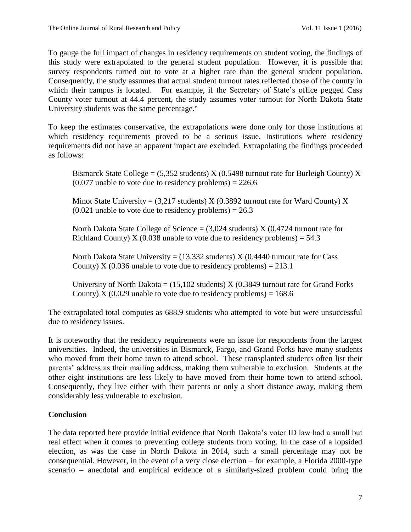To gauge the full impact of changes in residency requirements on student voting, the findings of this study were extrapolated to the general student population. However, it is possible that survey respondents turned out to vote at a higher rate than the general student population. Consequently, the study assumes that actual student turnout rates reflected those of the county in which their campus is located. For example, if the Secretary of State's office pegged Cass County voter turnout at 44.4 percent, the study assumes voter turnout for North Dakota State University students was the same percentage.<sup>v</sup>

To keep the estimates conservative, the extrapolations were done only for those institutions at which residency requirements proved to be a serious issue. Institutions where residency requirements did not have an apparent impact are excluded. Extrapolating the findings proceeded as follows:

Bismarck State College =  $(5,352$  students) X  $(0.5498$  turnout rate for Burleigh County) X  $(0.077 \text{ unable to vote due to residence problems}) = 226.6$ 

Minot State University =  $(3,217$  students) X  $(0.3892$  turnout rate for Ward County) X  $(0.021 \text{ unable to vote due to residue problems}) = 26.3$ 

North Dakota State College of Science =  $(3,024$  students) X  $(0.4724$  turnout rate for Richland County) X (0.038 unable to vote due to residency problems) =  $54.3$ 

North Dakota State University =  $(13,332$  students) X  $(0.4440$  turnout rate for Cass County) X (0.036 unable to vote due to residency problems) =  $213.1$ 

University of North Dakota =  $(15,102$  students) X  $(0.3849$  turnout rate for Grand Forks County) X (0.029 unable to vote due to residency problems) =  $168.6$ 

The extrapolated total computes as 688.9 students who attempted to vote but were unsuccessful due to residency issues.

It is noteworthy that the residency requirements were an issue for respondents from the largest universities. Indeed, the universities in Bismarck, Fargo, and Grand Forks have many students who moved from their home town to attend school. These transplanted students often list their parents' address as their mailing address, making them vulnerable to exclusion. Students at the other eight institutions are less likely to have moved from their home town to attend school. Consequently, they live either with their parents or only a short distance away, making them considerably less vulnerable to exclusion.

## **Conclusion**

The data reported here provide initial evidence that North Dakota's voter ID law had a small but real effect when it comes to preventing college students from voting. In the case of a lopsided election, as was the case in North Dakota in 2014, such a small percentage may not be consequential. However, in the event of a very close election – for example, a Florida 2000-type scenario – anecdotal and empirical evidence of a similarly-sized problem could bring the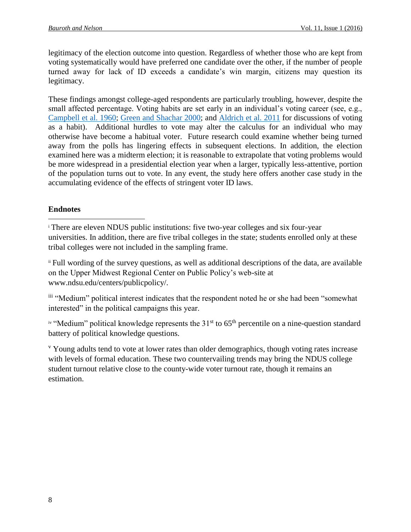legitimacy of the election outcome into question. Regardless of whether those who are kept from voting systematically would have preferred one candidate over the other, if the number of people turned away for lack of ID exceeds a candidate's win margin, citizens may question its legitimacy.

These findings amongst college-aged respondents are particularly troubling, however, despite the small affected percentage. Voting habits are set early in an individual's voting career (see, e.g., [Campbell et al. 1960;](#page-9-11) [Green and Shachar 2000;](#page-9-12) and [Aldrich et al. 2011](#page-9-13) for discussions of voting as a habit). Additional hurdles to vote may alter the calculus for an individual who may otherwise have become a habitual voter. Future research could examine whether being turned away from the polls has lingering effects in subsequent elections. In addition, the election examined here was a midterm election; it is reasonable to extrapolate that voting problems would be more widespread in a presidential election year when a larger, typically less-attentive, portion of the population turns out to vote. In any event, the study here offers another case study in the accumulating evidence of the effects of stringent voter ID laws.

## **Endnotes**

l

<sup>i</sup> There are eleven NDUS public institutions: five two-year colleges and six four-year universities. In addition, there are five tribal colleges in the state; students enrolled only at these tribal colleges were not included in the sampling frame.

ii Full wording of the survey questions, as well as additional descriptions of the data, are available on the Upper Midwest Regional Center on Public Policy's web-site at www.ndsu.edu/centers/publicpolicy/.

iii "Medium" political interest indicates that the respondent noted he or she had been "somewhat interested" in the political campaigns this year.

 $\mu$ <sup>iv</sup> "Medium" political knowledge represents the 31<sup>st</sup> to 65<sup>th</sup> percentile on a nine-question standard battery of political knowledge questions.

<sup>v</sup> Young adults tend to vote at lower rates than older demographics, though voting rates increase with levels of formal education. These two countervailing trends may bring the NDUS college student turnout relative close to the county-wide voter turnout rate, though it remains an estimation.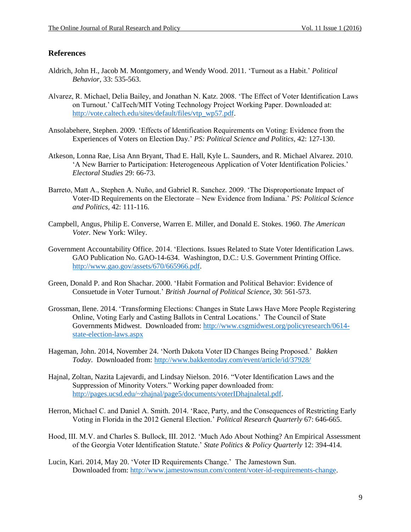#### **References**

- <span id="page-9-13"></span>Aldrich, John H., Jacob M. Montgomery, and Wendy Wood. 2011. 'Turnout as a Habit.' *Political Behavior,* 33: 535-563.
- <span id="page-9-3"></span>Alvarez, R. Michael, Delia Bailey, and Jonathan N. Katz. 2008. 'The Effect of Voter Identification Laws on Turnout.' CalTech/MIT Voting Technology Project Working Paper. Downloaded at: [http://vote.caltech.edu/sites/default/files/vtp\\_wp57.pdf.](http://vote.caltech.edu/sites/default/files/vtp_wp57.pdf)
- <span id="page-9-2"></span>Ansolabehere, Stephen. 2009. 'Effects of Identification Requirements on Voting: Evidence from the Experiences of Voters on Election Day.' *PS: Political Science and Politics,* 42: 127-130.
- <span id="page-9-6"></span>Atkeson, Lonna Rae, Lisa Ann Bryant, Thad E. Hall, Kyle L. Saunders, and R. Michael Alvarez. 2010. 'A New Barrier to Participation: Heterogeneous Application of Voter Identification Policies.' *Electoral Studies* 29: 66-73.
- <span id="page-9-0"></span>Barreto, Matt A., Stephen A. Nuño, and Gabriel R. Sanchez. 2009. 'The Disproportionate Impact of Voter-ID Requirements on the Electorate – New Evidence from Indiana.' *PS: Political Science and Politics,* 42: 111-116.
- <span id="page-9-11"></span>Campbell, Angus, Philip E. Converse, Warren E. Miller, and Donald E. Stokes. 1960. *The American Voter.* New York: Wiley.
- <span id="page-9-1"></span>Government Accountability Office. 2014. 'Elections. Issues Related to State Voter Identification Laws. GAO Publication No. GAO-14-634. Washington, D.C.: U.S. Government Printing Office. [http://www.gao.gov/assets/670/665966.pdf.](http://www.gao.gov/assets/670/665966.pdf)
- <span id="page-9-12"></span>Green, Donald P. and Ron Shachar. 2000. 'Habit Formation and Political Behavior: Evidence of Consuetude in Voter Turnout.' *British Journal of Political Science,* 30: 561-573.
- <span id="page-9-8"></span>Grossman, Ilene. 2014. 'Transforming Elections: Changes in State Laws Have More People Registering Online, Voting Early and Casting Ballots in Central Locations.' The Council of State Governments Midwest. Downloaded from: [http://www.csgmidwest.org/policyresearch/0614](http://www.csgmidwest.org/policyresearch/0614-state-election-laws.aspx) [state-election-laws.aspx](http://www.csgmidwest.org/policyresearch/0614-state-election-laws.aspx)
- <span id="page-9-10"></span>Hageman, John. 2014, November 24. 'North Dakota Voter ID Changes Being Proposed.' *Bakken Today*. Downloaded from:<http://www.bakkentoday.com/event/article/id/37928/>
- <span id="page-9-7"></span>Hajnal, Zoltan, Nazita Lajevardi, and Lindsay Nielson. 2016. "Voter Identification Laws and the Suppression of Minority Voters." Working paper downloaded from: [http://pages.ucsd.edu/~zhajnal/page5/documents/voterIDhajnaletal.pdf.](http://pages.ucsd.edu/~zhajnal/page5/documents/voterIDhajnaletal.pdf)
- <span id="page-9-5"></span>Herron, Michael C. and Daniel A. Smith. 2014. 'Race, Party, and the Consequences of Restricting Early Voting in Florida in the 2012 General Election.' *Political Research Quarterly* 67: 646-665.
- <span id="page-9-4"></span>Hood, III. M.V. and Charles S. Bullock, III. 2012. 'Much Ado About Nothing? An Empirical Assessment of the Georgia Voter Identification Statute.' *State Politics & Policy Quarterly* 12: 394-414.
- <span id="page-9-9"></span>Lucin, Kari. 2014, May 20. 'Voter ID Requirements Change.' The Jamestown Sun. Downloaded from: [http://www.jamestownsun.com/content/voter-id-requirements-change.](http://www.jamestownsun.com/content/voter-id-requirements-change)